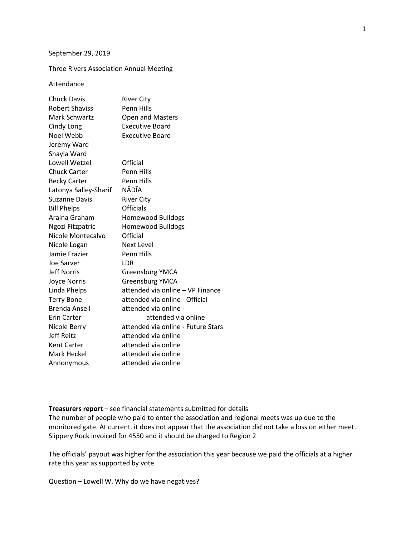#### September 29, 2019

### Three Rivers Association Annual Meeting

#### Attendance

| <b>Chuck Davis</b>    | <b>River City</b>                  |
|-----------------------|------------------------------------|
| <b>Robert Shaviss</b> | <b>Penn Hills</b>                  |
| <b>Mark Schwartz</b>  | Open and Masters                   |
| Cindy Long            | <b>Executive Board</b>             |
| Noel Webb             | <b>Executive Board</b>             |
| Jeremy Ward           |                                    |
| Shayla Ward           |                                    |
| Lowell Wetzel         | Official                           |
| <b>Chuck Carter</b>   | Penn Hills                         |
| <b>Becky Carter</b>   | <b>Penn Hills</b>                  |
| Latonya Salley-Sharif | NĀDĪA                              |
| <b>Suzanne Davis</b>  | <b>River City</b>                  |
| <b>Bill Phelps</b>    | <b>Officials</b>                   |
| Araina Graham         | <b>Homewood Bulldogs</b>           |
| Ngozi Fitzpatric      | <b>Homewood Bulldogs</b>           |
| Nicole Montecalvo     | Official                           |
| Nicole Logan          | Next Level                         |
| Jamie Frazier         | Penn Hills                         |
| Joe Sarver            | LDR                                |
| Jeff Norris           | Greensburg YMCA                    |
| <b>Joyce Norris</b>   | Greensburg YMCA                    |
| Linda Phelps          | attended via online - VP Finance   |
| <b>Terry Bone</b>     | attended via online - Official     |
| <b>Brenda Ansell</b>  | attended via online -              |
| Erin Carter           | attended via online                |
| Nicole Berry          | attended via online - Future Stars |
| <b>Jeff Reitz</b>     | attended via online                |
| Kent Carter           | attended via online                |
| Mark Heckel           | attended via online                |
| Annonymous            | attended via online                |

## **Treasurers report** – see financial statements submitted for details

The number of people who paid to enter the association and regional meets was up due to the monitored gate. At current, it does not appear that the association did not take a loss on either meet. Slippery Rock invoiced for 4550 and it should be charged to Region 2

The officials' payout was higher for the association this year because we paid the officials at a higher rate this year as supported by vote.

Question – Lowell W. Why do we have negatives?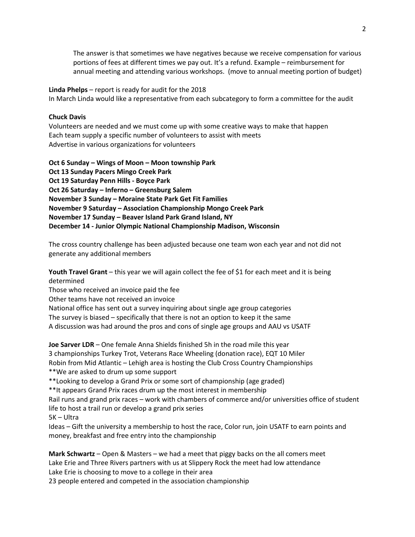The answer is that sometimes we have negatives because we receive compensation for various portions of fees at different times we pay out. It's a refund. Example – reimbursement for annual meeting and attending various workshops. (move to annual meeting portion of budget)

**Linda Phelps** – report is ready for audit for the 2018 In March Linda would like a representative from each subcategory to form a committee for the audit

## **Chuck Davis**

Volunteers are needed and we must come up with some creative ways to make that happen Each team supply a specific number of volunteers to assist with meets Advertise in various organizations for volunteers

**Oct 6 Sunday – Wings of Moon – Moon township Park Oct 13 Sunday Pacers Mingo Creek Park Oct 19 Saturday Penn Hills - Boyce Park Oct 26 Saturday – Inferno – Greensburg Salem November 3 Sunday – Moraine State Park Get Fit Families November 9 Saturday – Association Championship Mongo Creek Park November 17 Sunday – Beaver Island Park Grand Island, NY December 14 - Junior Olympic National Championship Madison, Wisconsin** 

The cross country challenge has been adjusted because one team won each year and not did not generate any additional members

**Youth Travel Grant** – this year we will again collect the fee of \$1 for each meet and it is being determined

Those who received an invoice paid the fee

Other teams have not received an invoice

National office has sent out a survey inquiring about single age group categories

The survey is biased – specifically that there is not an option to keep it the same

A discussion was had around the pros and cons of single age groups and AAU vs USATF

**Joe Sarver LDR** – One female Anna Shields finished 5h in the road mile this year 3 championships Turkey Trot, Veterans Race Wheeling (donation race), EQT 10 Miler Robin from Mid Atlantic – Lehigh area is hosting the Club Cross Country Championships \*\*We are asked to drum up some support

\*\*Looking to develop a Grand Prix or some sort of championship (age graded)

\*\*It appears Grand Prix races drum up the most interest in membership

Rail runs and grand prix races – work with chambers of commerce and/or universities office of student life to host a trail run or develop a grand prix series

5K – Ultra

Ideas – Gift the university a membership to host the race, Color run, join USATF to earn points and money, breakfast and free entry into the championship

**Mark Schwartz** – Open & Masters – we had a meet that piggy backs on the all comers meet Lake Erie and Three Rivers partners with us at Slippery Rock the meet had low attendance Lake Erie is choosing to move to a college in their area 23 people entered and competed in the association championship